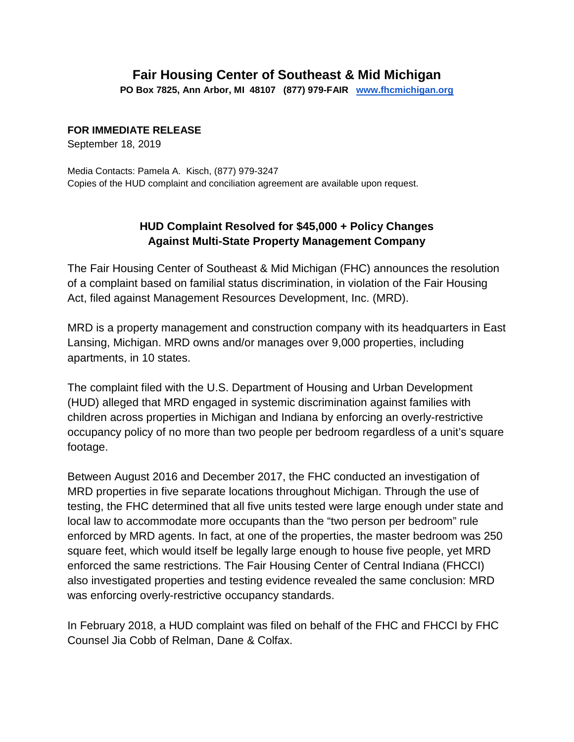## **Fair Housing Center of Southeast & Mid Michigan**

**PO Box 7825, Ann Arbor, MI 48107 (877) 979-FAIR [www.fhcmichigan.org](http://www.fhcmichigan.org/)**

## **FOR IMMEDIATE RELEASE**

September 18, 2019

Media Contacts: Pamela A. Kisch, (877) 979-3247 Copies of the HUD complaint and conciliation agreement are available upon request.

## **HUD Complaint Resolved for \$45,000 + Policy Changes Against Multi-State Property Management Company**

The Fair Housing Center of Southeast & Mid Michigan (FHC) announces the resolution of a complaint based on familial status discrimination, in violation of the Fair Housing Act, filed against Management Resources Development, Inc. (MRD).

MRD is a property management and construction company with its headquarters in East Lansing, Michigan. MRD owns and/or manages over 9,000 properties, including apartments, in 10 states.

The complaint filed with the U.S. Department of Housing and Urban Development (HUD) alleged that MRD engaged in systemic discrimination against families with children across properties in Michigan and Indiana by enforcing an overly-restrictive occupancy policy of no more than two people per bedroom regardless of a unit's square footage.

Between August 2016 and December 2017, the FHC conducted an investigation of MRD properties in five separate locations throughout Michigan. Through the use of testing, the FHC determined that all five units tested were large enough under state and local law to accommodate more occupants than the "two person per bedroom" rule enforced by MRD agents. In fact, at one of the properties, the master bedroom was 250 square feet, which would itself be legally large enough to house five people, yet MRD enforced the same restrictions. The Fair Housing Center of Central Indiana (FHCCI) also investigated properties and testing evidence revealed the same conclusion: MRD was enforcing overly-restrictive occupancy standards.

In February 2018, a HUD complaint was filed on behalf of the FHC and FHCCI by FHC Counsel Jia Cobb of Relman, Dane & Colfax.